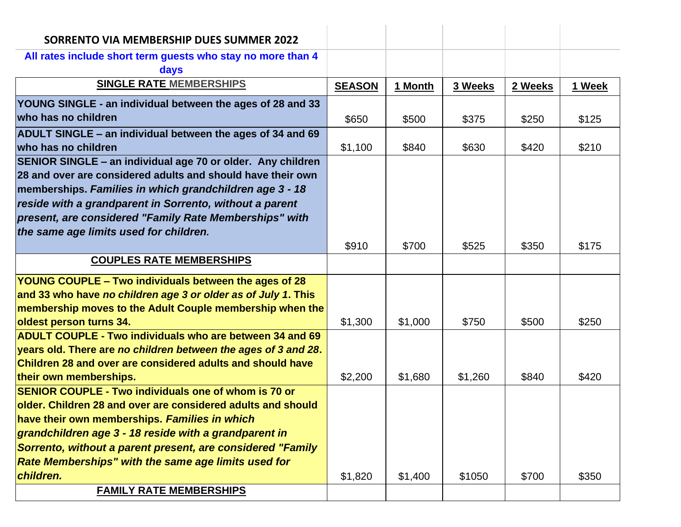| SORRENTO VIA MEMBERSHIP DUES SUMMER 2022                        |               |         |         |         |        |
|-----------------------------------------------------------------|---------------|---------|---------|---------|--------|
| All rates include short term guests who stay no more than 4     |               |         |         |         |        |
| days                                                            |               |         |         |         |        |
| <b>SINGLE RATE MEMBERSHIPS</b>                                  | <b>SEASON</b> | 1 Month | 3 Weeks | 2 Weeks | 1 Week |
| YOUNG SINGLE - an individual between the ages of 28 and 33      |               |         |         |         |        |
| who has no children                                             | \$650         | \$500   | \$375   | \$250   | \$125  |
| ADULT SINGLE – an individual between the ages of 34 and 69      |               |         |         |         |        |
| who has no children                                             | \$1,100       | \$840   | \$630   | \$420   | \$210  |
| SENIOR SINGLE - an individual age 70 or older. Any children     |               |         |         |         |        |
| 28 and over are considered adults and should have their own     |               |         |         |         |        |
| memberships. Families in which grandchildren age 3 - 18         |               |         |         |         |        |
| reside with a grandparent in Sorrento, without a parent         |               |         |         |         |        |
| present, are considered "Family Rate Memberships" with          |               |         |         |         |        |
| the same age limits used for children.                          |               |         |         |         |        |
|                                                                 | \$910         | \$700   | \$525   | \$350   | \$175  |
| <b>COUPLES RATE MEMBERSHIPS</b>                                 |               |         |         |         |        |
| YOUNG COUPLE – Two individuals between the ages of 28           |               |         |         |         |        |
| and 33 who have no children age 3 or older as of July 1. This   |               |         |         |         |        |
| membership moves to the Adult Couple membership when the        |               |         |         |         |        |
| oldest person turns 34.                                         | \$1,300       | \$1,000 | \$750   | \$500   | \$250  |
| <b>ADULT COUPLE - Two individuals who are between 34 and 69</b> |               |         |         |         |        |
| years old. There are no children between the ages of 3 and 28.  |               |         |         |         |        |
| Children 28 and over are considered adults and should have      |               |         |         |         |        |
| their own memberships.                                          | \$2,200       | \$1,680 | \$1,260 | \$840   | \$420  |
| <b>SENIOR COUPLE - Two individuals one of whom is 70 or</b>     |               |         |         |         |        |
| older. Children 28 and over are considered adults and should    |               |         |         |         |        |
| have their own memberships. Families in which                   |               |         |         |         |        |
| grandchildren age 3 - 18 reside with a grandparent in           |               |         |         |         |        |
| Sorrento, without a parent present, are considered "Family      |               |         |         |         |        |
| Rate Memberships" with the same age limits used for             |               |         |         |         |        |
| children.                                                       | \$1,820       | \$1,400 | \$1050  | \$700   | \$350  |
| <b>FAMILY RATE MEMBERSHIPS</b>                                  |               |         |         |         |        |